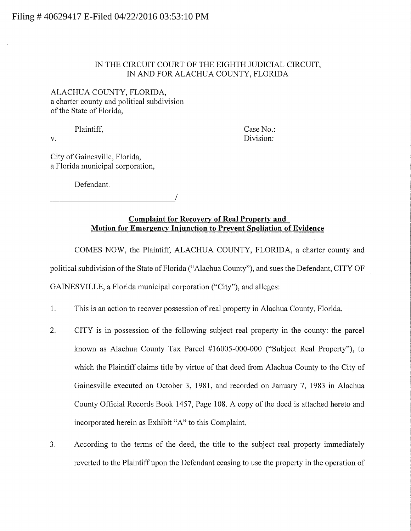## IN THE CIRCUIT COURT OF THE EIGHTH JUDICIAL CIRCUIT, IN AND FOR ALACHUA COUNTY, FLORIDA

ALACHUA COUNTY, FLORIDA, a charter county and political subdivision of the State of Florida,

Plaintiff, Case No.: v. Division:

City of Gainesville, Florida, a Florida municipal corporation,

Defendant.

### **Complaint for Recovery of Real Property and Motion for Emergency Injunction to Prevent Spoliation of Evidence**

COMES NOW, the Plaintiff, ALACHUA COUNTY, FLORIDA, a charter county and political subdivision of the State of Florida ("Alachua County"), and sues the Defendant, CITY OF GAINESVILLE, a Florida municipal corporation ("City"), and alleges:

- 1. This is an action to recover possession of real property in Alachua County, Florida.
- 2. CITY is in possession of the following subject real property in the county: the parcel known as Alachua County Tax Parcel #16005-000-000 ("Subject Real Property"), to which the Plaintiff claims title by virtue of that deed from Alachua County to the City of Gainesville executed on October 3, 1981, and recorded on January 7, 1983 in Alachua County Official Records Book 1457, Page 108. A copy of the deed is attached hereto and incorporated herein as Exhibit "A" to this Complaint.
- 3. According to the terms of the deed, the title to the subject real property immediately reverted to the Plaintiff upon the Defendant ceasing to use the property in the operation of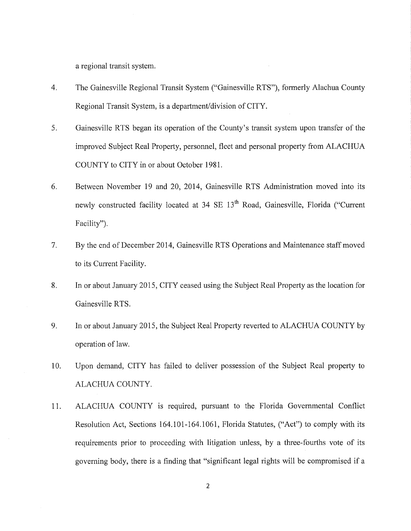a regional transit system.

- 4. The Gainesville Regional Transit System ("Gainesville RTS"), formerly Alachua County Regional Transit System, is a department/division of CITY.
- 5. Gainesville RTS began its operation of the County's transit system upon transfer of the improved Subject Real Property, personnel, fleet and personal property from ALACHUA COUNTY to CITY in or about October 1981.
- 6. Between November 19 and 20, 2014, Gainesville RTS Administration moved into its newly constructed facility located at 34 SE 13<sup>th</sup> Road, Gainesville, Florida ("Current Facility").
- 7. By the end of December 2014, Gainesville RTS Operations and Maintenance staff moved to its Current Facility.
- 8. In or about January 2015, CITY ceased using the Subject Real Property as the location for Gainesville RTS.
- 9. In or about January 2015, the Subject Real Property reverted to ALACHUA COUNTY by operation of law.
- 10. Upon demand, CITY has failed to deliver possession of the Subject Real property to ALACHUA COUNTY.
- 11. ALACHUA COUNTY is required, pursuant to the Florida Governmental Conflict Resolution Act, Sections 164.101-164.1061, Florida Statutes, ("Act") to comply with its requirements prior to proceeding with litigation unless, by a three-fourths vote of its governing body, there is a finding that "significant legal rights will be compromised if a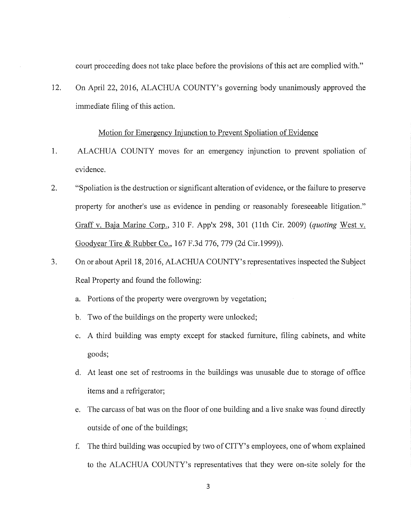court proceeding does not take place before the provisions of this act are complied with."

12. On April 22, 2016, ALACHUA COUNTY's governing body unanimously approved the immediate filing of this action.

### Motion for Emergency Injunction to Prevent Spoliation of Evidence

- 1. ALACHUA COUNTY moves for an emergency injunction to prevent spoliation of evidence.
- 2. "Spoliation is the destruction or significant alteration of evidence, or the failure to preserve property for another's use as evidence in pending or reasonably foreseeable litigation." Graff v. Baja Marine Corp., 310 F. App'x 298, 301 (11th Cir. 2009) *(quoting* West v. Goodyear Tire & Rubber Co., 167 F.3d 776, 779 (2d Cir.1999)).
- 3. On or about April 18, 2016, ALACHUA COUNTY' s representatives inspected the Subject Real Property and found the following:
	- a. Portions of the property were overgrown by vegetation;
	- b. Two of the buildings on the property were unlocked;
	- c. A third building was empty except for stacked furniture, filing cabinets, and white goods;
	- d. At least one set of restrooms in the buildings was unusable due to storage of office items and a refrigerator;
	- e. The carcass of bat was on the floor of one building and a live snake was found directly outside of one of the buildings;
	- f. The third building was occupied by two of CITY' s employees, one of whom explained to the ALACHUA COUNTY's representatives that they were on-site solely for the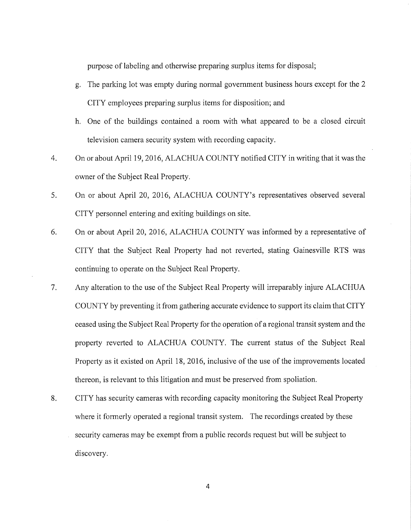purpose of labeling and otherwise preparing surplus items for disposal;

- g. The parking lot was empty during normal government business hours except for the 2 CITY employees preparing surplus items for disposition; and
- h. One of the buildings contained a room with what appeared to be a closed circuit television camera security system with recording capacity.
- 4. On or about April 19, 2016, ALACHUA COUNTY notified CITY in writing that it was the owner of the Subject Real Property.
- 5. On or about April 20, 2016, ALACHUA COUNTY's representatives observed several CITY personnel entering and exiting buildings on site.
- 6. On or about April 20, 2016, ALACHUA COUNTY was informed by a representative of CITY that the Subject Real Property had not reverted, stating Gainesville RTS was continuing to operate on the Subject Real Property.
- 7. Any alteration to the use of the Subject Real Property will irreparably injure ALACHUA COUNTY by preventing it from gathering accurate evidence to support its claim that CITY ceased using the Subject Real Property for the operation of a regional transit system and the property reverted to ALACHUA COUNTY. The current status of the Subject Real Property as it existed on April 18, 2016, inclusive of the use of the improvements located thereon, is relevant to this litigation and must be preserved from spoliation.
- 8. CITY has security cameras with recording capacity monitoring the Subject Real Property where it formerly operated a regional transit system. The recordings created by these security cameras may be exempt from a public records request but will be subject to discovery.

4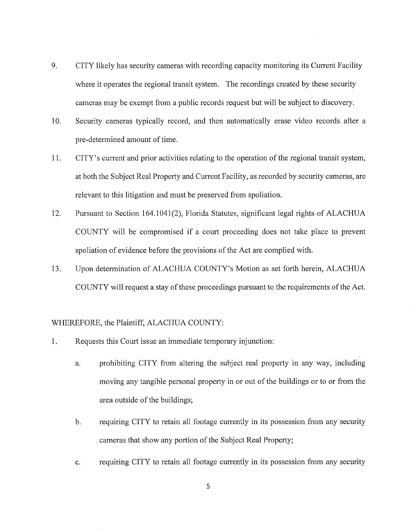- 9. CITY likely has security cameras with recording capacity monitoring its Current Facility where it operates the regional transit system. The recordings created by these security cameras may be exempt from a public records request but will be subject to discovery.
- 10. Security cameras typically record, and then automatically erase video records after a pre-determined amount of time.
- 11. CITY's current and prior activities relating to the operation of the regional transit system, at both the Subject Real Property and Current Facility, as recorded by security cameras, are relevant to this litigation and must be preserved from spoliation.
- 12. Pursuant to Section 164.1041(2), Florida Statutes, significant legal rights of ALACHUA COUNTY will be compromised if a court proceeding does not take place to prevent spoliation of evidence before the provisions of the Act are complied with.
- 13. Upon determination of ALACHUA COUNTY's Motion as set forth herein, ALACHUA COUNTY will request a stay of these proceedings pursuant to the requirements of the Act.

### WHEREFORE, the Plaintiff, ALACHUA COUNTY:

- 1. Requests this Court issue an immediate temporary injunction:
	- a. prohibiting CITY from altering the subject real property in any way, including moving any tangible personal property in or out of the buildings or to or from the area outside of the buildings;
	- b. requiring CITY to retain all footage currently in its possession from any security cameras that show any portion of the Subject Real Property;
	- c. requiring CITY to retain all footage currently in its possession from any security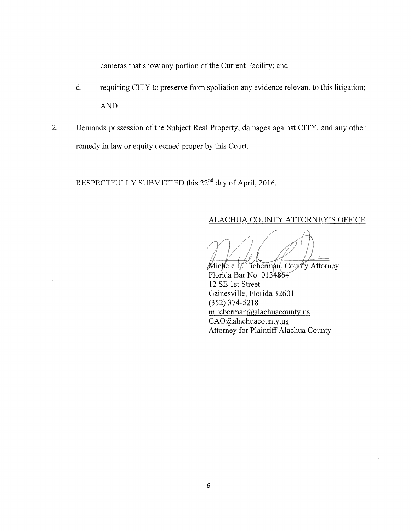cameras that show any portion of the Current Facility; and

- d. requiring CITY to preserve from spoliation any evidence relevant to this litigation; AND
- 2. Demands possession of the Subject Real Property, damages against CITY, and any other remedy in law or equity deemed proper by this Court.

RESPECTFULLY SUBMITTED this 22<sup>nd</sup> day of April, 2016.

# ALACHUA COUNTY ATTORNEY'S OFFICE

Michele L. Lieberman, County Attorney Florida Bar No. 0134864 12 SE 1st Street Gainesville, Florida 32601 (352) 374-5218 mliebennan@alachuacounty.us CAO@alachuacounty.us Attorney for Plaintiff Alachua County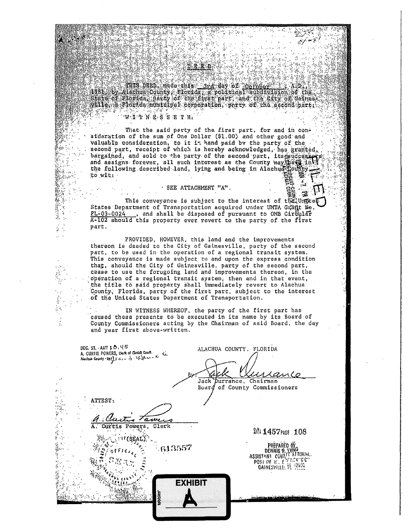Alle a Plorida muricipal corporation, porty of the accord part . 

 $\mathcal{L}(\mathcal{A})$  ,  $\mathcal{L}$ 

d.e.x.a

 $\mathcal{Z}$ 

 $\frac{1}{2}$ 

- 52

#### WETNESSETH.

250

ú. . . .

di ser  $\mathcal{U}_\mathrm{c} \subset \mathcal{U}_\mathrm{c}$ 

**被除為物がながたこと** 

 $\frac{1}{2}$ 

i di

÷,  $\ddot{\cdot}$ 

That the said party of the first part, for and in consideration of the sum of One Dollar (\$1.00) and other good and valuable consideration, to it it hand paid by the party of the second part, receipt of which is hereby acknowledged, has granted, bargained, and sold to the party of the second part, its seniccesse and assigns forever, all such interest as the County may set in the the following described land, lying and being in Alachud Lounty to wit:  $\sim 10^{-11}$ 

#### · SEE ATTACHMENT "A".

This conveyance is subject to the interest of the Unster States Department of Transportation acquired under UMTA Grant No. FL-03-0024, and shall be disposed of pursuant to OMB Cireular A-102 should this property ever revert to the party of the first part.

PROVIDED, HOWEVER, this land and the improvements thereon is deeded to the City of Gainesville, party of the second part, to be used in the operation of a regional transit system. This conveyance is made subject to and upon the express condition that, should the City of Gainesville, party of the second part, cease to use the foregoing land and improvements thereon, in the operation of a regional transit system, then and in that event, the title to said property shall immediately revert to Alachua County, Florida, party of the first part, subject to the interest of the United States Department of Transportation.

IN WITNESS WHEREOF, the party of the first part has caused these presents to be executed in its name by its Board of County Commissioners acting by the Chairman of said Board, the day and year first above-written.

| DOC. ST. AMT $$0.45$<br>A. CURTIS POWERS, clark of Circuit Court | ALACHUA COUNTY. FLORIDA<br>rance<br>Jack purrance, Chairman<br>Board of County Commissioners |
|------------------------------------------------------------------|----------------------------------------------------------------------------------------------|
| ATTEST:<br>Clerk<br>A. Curtis Powers,<br>-613557<br>÷,           | <b>器 1457PAGE 108</b><br>PREPARED                                                            |
| <b>EXHIBIT</b><br>tabbies                                        | ASSISTANI<br>POST OF IC. CHANNEL<br>27.12                                                    |